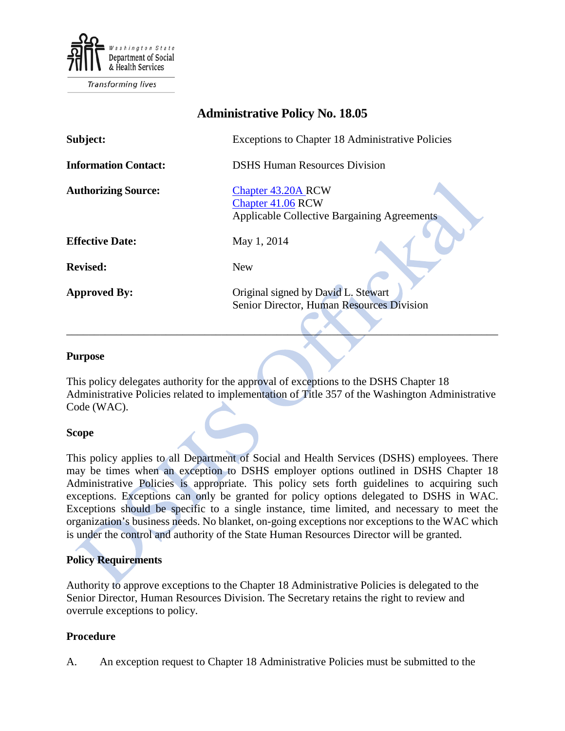

Transforming lives

# **Administrative Policy No. 18.05**

| Subject:                    | Exceptions to Chapter 18 Administrative Policies                                                     |
|-----------------------------|------------------------------------------------------------------------------------------------------|
| <b>Information Contact:</b> | <b>DSHS Human Resources Division</b>                                                                 |
| <b>Authorizing Source:</b>  | <b>Chapter 43.20A RCW</b><br>Chapter 41.06 RCW<br><b>Applicable Collective Bargaining Agreements</b> |
| <b>Effective Date:</b>      | May 1, 2014                                                                                          |
| <b>Revised:</b>             | <b>New</b>                                                                                           |
| <b>Approved By:</b>         | Original signed by David L. Stewart<br>Senior Director, Human Resources Division                     |

### **Purpose**

This policy delegates authority for the approval of exceptions to the DSHS Chapter 18 Administrative Policies related to implementation of Title 357 of the Washington Administrative Code (WAC).

 $\qquad \qquad \qquad \qquad \qquad$ 

## **Scope**

This policy applies to all Department of Social and Health Services (DSHS) employees. There may be times when an exception to DSHS employer options outlined in DSHS Chapter 18 Administrative Policies is appropriate. This policy sets forth guidelines to acquiring such exceptions. Exceptions can only be granted for policy options delegated to DSHS in WAC. Exceptions should be specific to a single instance, time limited, and necessary to meet the organization's business needs. No blanket, on-going exceptions nor exceptions to the WAC which is under the control and authority of the State Human Resources Director will be granted.

## **Policy Requirements**

Authority to approve exceptions to the Chapter 18 Administrative Policies is delegated to the Senior Director, Human Resources Division. The Secretary retains the right to review and overrule exceptions to policy.

## **Procedure**

A. An exception request to Chapter 18 Administrative Policies must be submitted to the